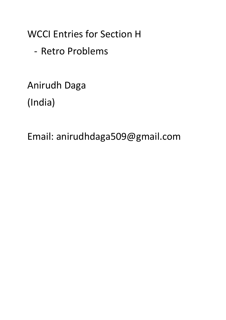WCCI Entries for Section H

- Retro Problems

Anirudh Daga (India)

Email: anirudhdaga509@gmail.com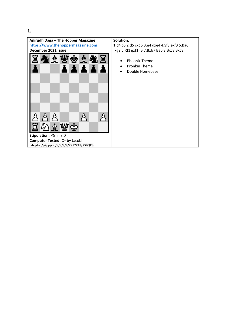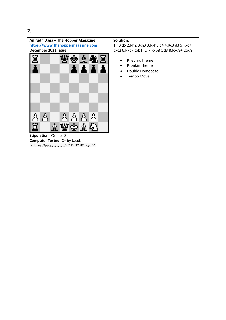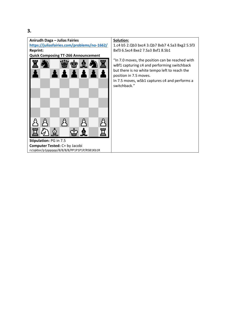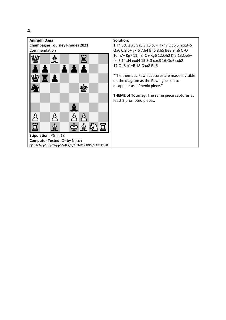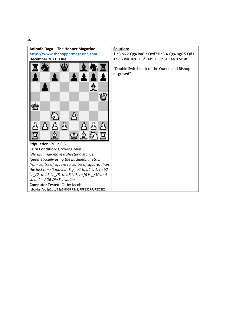